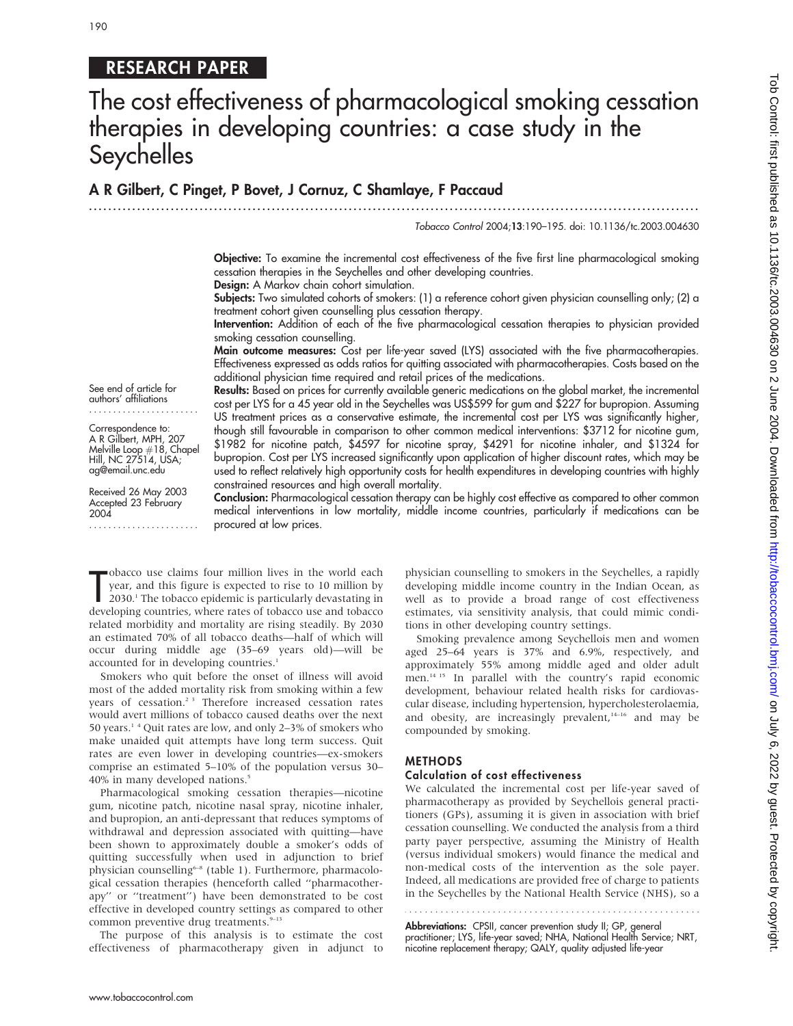# RESEARCH PAPER

# The cost effectiveness of pharmacological smoking cessation therapies in developing countries: a case study in the **Seychelles**

# A R Gilbert, C Pinget, P Bovet, J Cornuz, C Shamlaye, F Paccaud

...............................................................................................................................

Tobacco Control 2004;13:190–195. doi: 10.1136/tc.2003.004630

Objective: To examine the incremental cost effectiveness of the five first line pharmacological smoking cessation therapies in the Seychelles and other developing countries. Design: A Markov chain cohort simulation.

Subjects: Two simulated cohorts of smokers: (1) a reference cohort given physician counselling only; (2) a treatment cohort given counselling plus cessation therapy.

Intervention: Addition of each of the five pharmacological cessation therapies to physician provided smoking cessation counselling.

Main outcome measures: Cost per life-year saved (LYS) associated with the five pharmacotherapies. Effectiveness expressed as odds ratios for quitting associated with pharmacotherapies. Costs based on the additional physician time required and retail prices of the medications.

Results: Based on prices for currently available generic medications on the global market, the incremental

See end of article for authors' affiliations .......................

Correspondence to: A R Gilbert, MPH, 207 Melville Loop #18, Chapel Hill, NC 27514, USA; ag@email.unc.edu

Received 26 May 2003 Accepted 23 February 2004 ....................... cost per LYS for a 45 year old in the Seychelles was US\$599 for gum and \$227 for bupropion. Assuming US treatment prices as a conservative estimate, the incremental cost per LYS was significantly higher, though still favourable in comparison to other common medical interventions: \$3712 for nicotine gum, \$1982 for nicotine patch, \$4597 for nicotine spray, \$4291 for nicotine inhaler, and \$1324 for bupropion. Cost per LYS increased significantly upon application of higher discount rates, which may be used to reflect relatively high opportunity costs for health expenditures in developing countries with highly constrained resources and high overall mortality.

Conclusion: Pharmacological cessation therapy can be highly cost effective as compared to other common medical interventions in low mortality, middle income countries, particularly if medications can be procured at low prices.

The vorid each year, and this figure is expected to rise to 10 million by 2030.<sup>1</sup> The tobacco epidemic is particularly devastating in developing countries, where rates of tobacco use and tobacco obacco use claims four million lives in the world each year, and this figure is expected to rise to 10 million by 2030.1 The tobacco epidemic is particularly devastating in related morbidity and mortality are rising steadily. By 2030 an estimated 70% of all tobacco deaths—half of which will occur during middle age (35–69 years old)—will be accounted for in developing countries.<sup>1</sup>

Smokers who quit before the onset of illness will avoid most of the added mortality risk from smoking within a few years of cessation.<sup>2 3</sup> Therefore increased cessation rates would avert millions of tobacco caused deaths over the next 50 years.<sup>14</sup> Quit rates are low, and only 2-3% of smokers who make unaided quit attempts have long term success. Quit rates are even lower in developing countries—ex-smokers comprise an estimated 5–10% of the population versus 30– 40% in many developed nations.<sup>5</sup>

Pharmacological smoking cessation therapies—nicotine gum, nicotine patch, nicotine nasal spray, nicotine inhaler, and bupropion, an anti-depressant that reduces symptoms of withdrawal and depression associated with quitting—have been shown to approximately double a smoker's odds of quitting successfully when used in adjunction to brief physician counselling<sup>6-8</sup> (table 1). Furthermore, pharmacological cessation therapies (henceforth called ''pharmacotherapy'' or ''treatment'') have been demonstrated to be cost effective in developed country settings as compared to other common preventive drug treatments.<sup>9-13</sup>

The purpose of this analysis is to estimate the cost effectiveness of pharmacotherapy given in adjunct to physician counselling to smokers in the Seychelles, a rapidly developing middle income country in the Indian Ocean, as well as to provide a broad range of cost effectiveness estimates, via sensitivity analysis, that could mimic conditions in other developing country settings.

Smoking prevalence among Seychellois men and women aged 25–64 years is 37% and 6.9%, respectively, and approximately 55% among middle aged and older adult men.<sup>14 15</sup> In parallel with the country's rapid economic development, behaviour related health risks for cardiovascular disease, including hypertension, hypercholesterolaemia, and obesity, are increasingly prevalent,<sup>14-16</sup> and may be compounded by smoking.

## METHODS

#### Calculation of cost effectiveness

We calculated the incremental cost per life-year saved of pharmacotherapy as provided by Seychellois general practitioners (GPs), assuming it is given in association with brief cessation counselling. We conducted the analysis from a third party payer perspective, assuming the Ministry of Health (versus individual smokers) would finance the medical and non-medical costs of the intervention as the sole payer. Indeed, all medications are provided free of charge to patients in the Seychelles by the National Health Service (NHS), so a

Abbreviations: CPSII, cancer prevention study II; GP, general practitioner; LYS, life-year saved; NHA, National Health Service; NRT, nicotine replacement therapy; QALY, quality adjusted life-year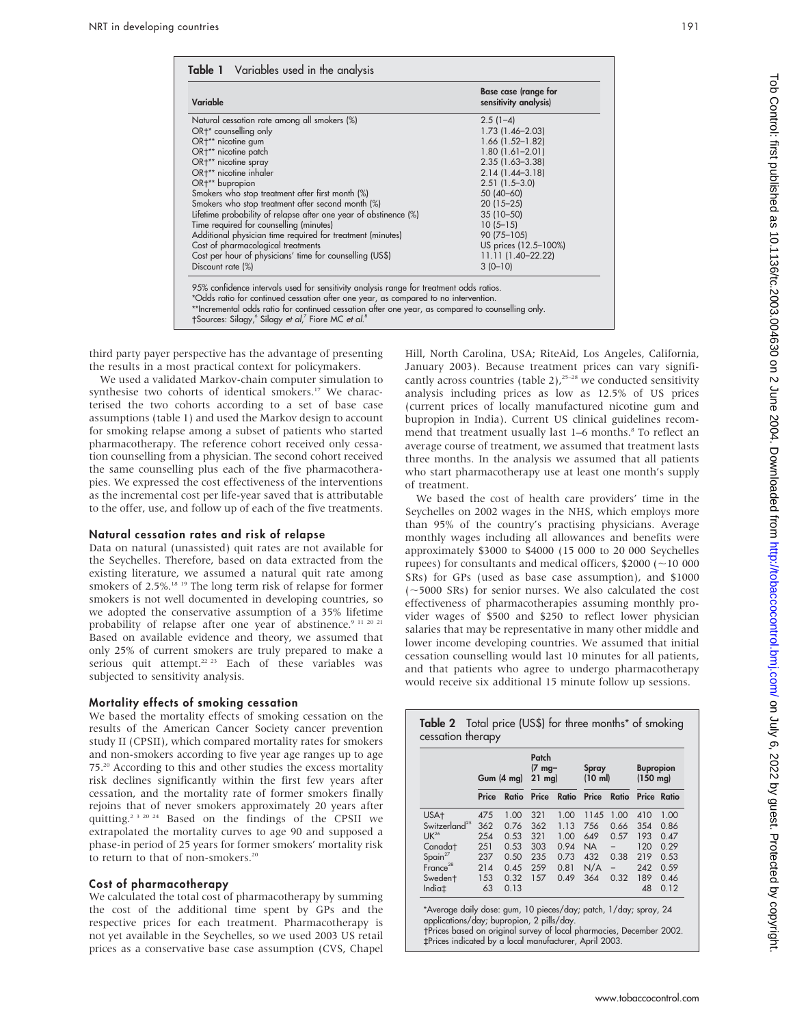| Table 1 Variables used in the analysis                                                                                                                                                                                                                                                                                                                                                                                                                                                                                                                                                                |                                                                                                                                                                                                                                                                                  |
|-------------------------------------------------------------------------------------------------------------------------------------------------------------------------------------------------------------------------------------------------------------------------------------------------------------------------------------------------------------------------------------------------------------------------------------------------------------------------------------------------------------------------------------------------------------------------------------------------------|----------------------------------------------------------------------------------------------------------------------------------------------------------------------------------------------------------------------------------------------------------------------------------|
| Variable                                                                                                                                                                                                                                                                                                                                                                                                                                                                                                                                                                                              | <b>Base case (range for</b><br>sensitivity analysis)                                                                                                                                                                                                                             |
| Natural cessation rate among all smokers (%)<br>OR†* counselling only<br>OR+** nicotine gum<br>OR†** nicotine patch<br>OR+** nicotine spray<br>OR†** nicotine inhaler<br>OR+** bupropion<br>Smokers who stop treatment after first month (%)<br>Smokers who stop treatment after second month (%)<br>Lifetime probability of relapse after one year of abstinence (%)<br>Time required for counselling (minutes)<br>Additional physician time required for treatment (minutes)<br>Cost of pharmacological treatments<br>Cost per hour of physicians' time for counselling (US\$)<br>Discount rate (%) | $2.5(1-4)$<br>1.73 (1.46-2.03)<br>$1.66$ (1.52-1.82)<br>$1.80(1.61 - 2.01)$<br>$2.35(1.63 - 3.38)$<br>$2.14(1.44-3.18)$<br>$2.51(1.5-3.0)$<br>$50(40-60)$<br>$20(15-25)$<br>$35(10-50)$<br>$10(5-15)$<br>90 (75-105)<br>US prices (12.5-100%)<br>11.11 (1.40-22.22)<br>$3(0-10)$ |
| 95% confidence intervals used for sensitivity analysis range for treatment odds ratios.<br>*Odds ratio for continued cessation after one year, as compared to no intervention.<br>**Incremental odds ratio for continued cessation after one year, as compared to counselling only.<br>†Sources: Silagy, Silagy et al, <sup>7</sup> Fiore MC et al. <sup>8</sup>                                                                                                                                                                                                                                      |                                                                                                                                                                                                                                                                                  |

third party payer perspective has the advantage of presenting the results in a most practical context for policymakers.

We used a validated Markov-chain computer simulation to synthesise two cohorts of identical smokers.<sup>17</sup> We characterised the two cohorts according to a set of base case assumptions (table 1) and used the Markov design to account for smoking relapse among a subset of patients who started pharmacotherapy. The reference cohort received only cessation counselling from a physician. The second cohort received the same counselling plus each of the five pharmacotherapies. We expressed the cost effectiveness of the interventions as the incremental cost per life-year saved that is attributable to the offer, use, and follow up of each of the five treatments.

#### Natural cessation rates and risk of relapse

Data on natural (unassisted) quit rates are not available for the Seychelles. Therefore, based on data extracted from the existing literature, we assumed a natural quit rate among smokers of 2.5%.<sup>18 19</sup> The long term risk of relapse for former smokers is not well documented in developing countries, so we adopted the conservative assumption of a 35% lifetime probability of relapse after one year of abstinence.<sup>9 11 20 21</sup> Based on available evidence and theory, we assumed that only 25% of current smokers are truly prepared to make a serious quit attempt.<sup>22 23</sup> Each of these variables was subjected to sensitivity analysis.

#### Mortality effects of smoking cessation

We based the mortality effects of smoking cessation on the results of the American Cancer Society cancer prevention study II (CPSII), which compared mortality rates for smokers and non-smokers according to five year age ranges up to age 75.20 According to this and other studies the excess mortality risk declines significantly within the first few years after cessation, and the mortality rate of former smokers finally rejoins that of never smokers approximately 20 years after quitting.2 3 20 24 Based on the findings of the CPSII we extrapolated the mortality curves to age 90 and supposed a phase-in period of 25 years for former smokers' mortality risk to return to that of non-smokers.<sup>20</sup>

#### Cost of pharmacotherapy

We calculated the total cost of pharmacotherapy by summing the cost of the additional time spent by GPs and the respective prices for each treatment. Pharmacotherapy is not yet available in the Seychelles, so we used 2003 US retail prices as a conservative base case assumption (CVS, Chapel Hill, North Carolina, USA; RiteAid, Los Angeles, California, January 2003). Because treatment prices can vary significantly across countries (table 2), $25-28$  we conducted sensitivity analysis including prices as low as 12.5% of US prices (current prices of locally manufactured nicotine gum and bupropion in India). Current US clinical guidelines recommend that treatment usually last 1-6 months.<sup>8</sup> To reflect an average course of treatment, we assumed that treatment lasts three months. In the analysis we assumed that all patients who start pharmacotherapy use at least one month's supply of treatment.

We based the cost of health care providers' time in the Seychelles on 2002 wages in the NHS, which employs more than 95% of the country's practising physicians. Average monthly wages including all allowances and benefits were approximately \$3000 to \$4000 (15 000 to 20 000 Seychelles rupees) for consultants and medical officers, \$2000 ( $\sim$ 10 000 SRs) for GPs (used as base case assumption), and \$1000  $(-5000$  SRs) for senior nurses. We also calculated the cost effectiveness of pharmacotherapies assuming monthly provider wages of \$500 and \$250 to reflect lower physician salaries that may be representative in many other middle and lower income developing countries. We assumed that initial cessation counselling would last 10 minutes for all patients, and that patients who agree to undergo pharmacotherapy would receive six additional 15 minute follow up sessions.

|                                                                                                                                                                                                                                                 |       | Gum $(4 \text{ mg})$ | Patch<br>$(7 \text{ mg} -$<br>$21$ mg) |       | Spray<br>(10 ml) |                   | <b>Bupropion</b><br>$(150 \text{ mg})$ |      |
|-------------------------------------------------------------------------------------------------------------------------------------------------------------------------------------------------------------------------------------------------|-------|----------------------|----------------------------------------|-------|------------------|-------------------|----------------------------------------|------|
|                                                                                                                                                                                                                                                 | Price | Ratio                | Price                                  | Ratio | Price            | Ratio             | Price Ratio                            |      |
| USA <sub>†</sub>                                                                                                                                                                                                                                | 475   | 1.00                 | 321                                    | 1.00  | 1145             | 1.00              | 410                                    | 1.00 |
| Switzerland <sup>25</sup>                                                                                                                                                                                                                       | 362   | 0.76                 | 362                                    | 1.13  | 756              | 0.66              | 354                                    | 0.86 |
| $IJK^{26}$                                                                                                                                                                                                                                      | 254   | 0.53                 | 321                                    | 1.00  | 649              | 0.57              | 193                                    | 0.47 |
| Canadat                                                                                                                                                                                                                                         | 251   | 0.53                 | 303                                    | 0.94  | <b>NA</b>        |                   | 120                                    | 0.29 |
| $S$ pain $27$                                                                                                                                                                                                                                   | 237   | 0.50                 | 235                                    | 0.73  | 432              | 0.38              | 219                                    | 0.53 |
| France <sup>28</sup>                                                                                                                                                                                                                            | 214   | 0.45                 | 259                                    | 0.81  | N/A              | $\qquad \qquad -$ | 242                                    | 0.59 |
| Swedent                                                                                                                                                                                                                                         | 153   | 0.32                 | 157                                    | 0.49  | 364              | 0.32              | 189                                    | 0.46 |
| India‡                                                                                                                                                                                                                                          | 63    | 0.13                 |                                        |       |                  |                   | 48                                     | 0.12 |
| *Average daily dose: gum, 10 pieces/day; patch, 1/day; spray, 24<br>applications/day; bupropion, 2 pills/day.<br>†Prices based on original survey of local pharmacies, December 2002.<br>‡Prices indicated by a local manufacturer, April 2003. |       |                      |                                        |       |                  |                   |                                        |      |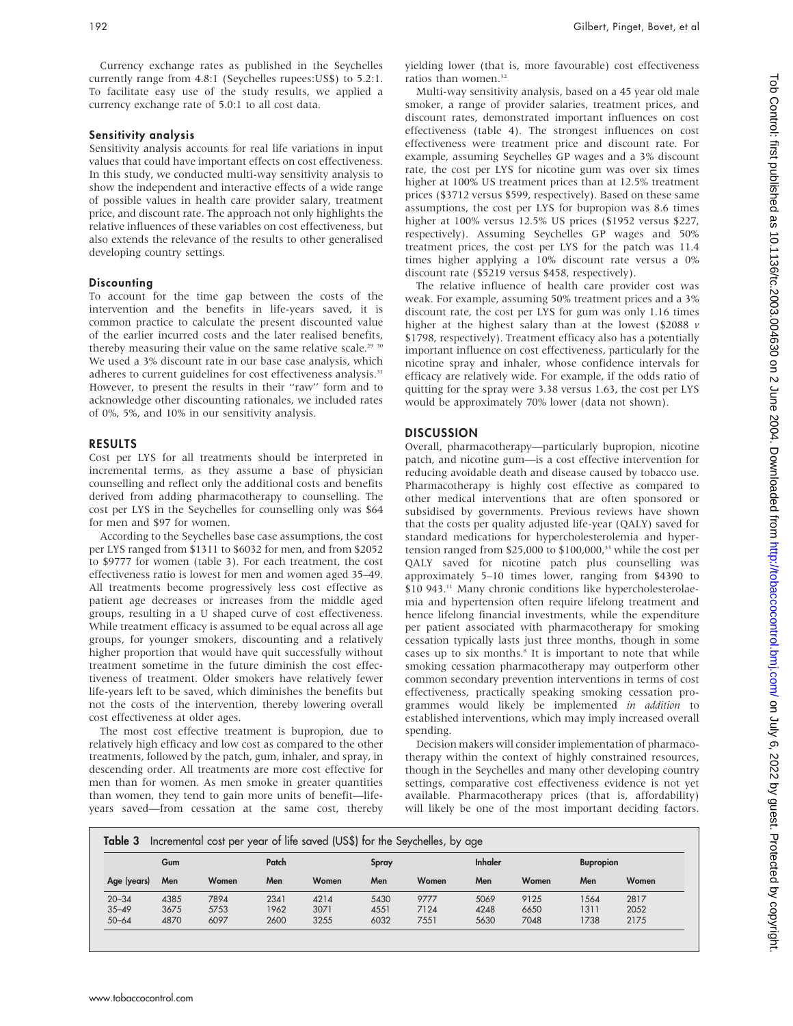Currency exchange rates as published in the Seychelles currently range from 4.8:1 (Seychelles rupees:US\$) to 5.2:1. To facilitate easy use of the study results, we applied a currency exchange rate of 5.0:1 to all cost data.

## Sensitivity analysis

Sensitivity analysis accounts for real life variations in input values that could have important effects on cost effectiveness. In this study, we conducted multi-way sensitivity analysis to show the independent and interactive effects of a wide range of possible values in health care provider salary, treatment price, and discount rate. The approach not only highlights the relative influences of these variables on cost effectiveness, but also extends the relevance of the results to other generalised developing country settings.

## **Discounting**

To account for the time gap between the costs of the intervention and the benefits in life-years saved, it is common practice to calculate the present discounted value of the earlier incurred costs and the later realised benefits, thereby measuring their value on the same relative scale.<sup>29 30</sup> We used a 3% discount rate in our base case analysis, which adheres to current guidelines for cost effectiveness analysis.<sup>31</sup> However, to present the results in their ''raw'' form and to acknowledge other discounting rationales, we included rates of 0%, 5%, and 10% in our sensitivity analysis.

## RESULTS

Cost per LYS for all treatments should be interpreted in incremental terms, as they assume a base of physician counselling and reflect only the additional costs and benefits derived from adding pharmacotherapy to counselling. The cost per LYS in the Seychelles for counselling only was \$64 for men and \$97 for women.

According to the Seychelles base case assumptions, the cost per LYS ranged from \$1311 to \$6032 for men, and from \$2052 to \$9777 for women (table 3). For each treatment, the cost effectiveness ratio is lowest for men and women aged 35–49. All treatments become progressively less cost effective as patient age decreases or increases from the middle aged groups, resulting in a U shaped curve of cost effectiveness. While treatment efficacy is assumed to be equal across all age groups, for younger smokers, discounting and a relatively higher proportion that would have quit successfully without treatment sometime in the future diminish the cost effectiveness of treatment. Older smokers have relatively fewer life-years left to be saved, which diminishes the benefits but not the costs of the intervention, thereby lowering overall cost effectiveness at older ages.

The most cost effective treatment is bupropion, due to relatively high efficacy and low cost as compared to the other treatments, followed by the patch, gum, inhaler, and spray, in descending order. All treatments are more cost effective for men than for women. As men smoke in greater quantities than women, they tend to gain more units of benefit—lifeyears saved—from cessation at the same cost, thereby yielding lower (that is, more favourable) cost effectiveness ratios than women.<sup>32</sup>

Multi-way sensitivity analysis, based on a 45 year old male smoker, a range of provider salaries, treatment prices, and discount rates, demonstrated important influences on cost effectiveness (table 4). The strongest influences on cost effectiveness were treatment price and discount rate. For example, assuming Seychelles GP wages and a 3% discount rate, the cost per LYS for nicotine gum was over six times higher at 100% US treatment prices than at 12.5% treatment prices (\$3712 versus \$599, respectively). Based on these same assumptions, the cost per LYS for bupropion was 8.6 times higher at 100% versus 12.5% US prices (\$1952 versus \$227, respectively). Assuming Seychelles GP wages and 50% treatment prices, the cost per LYS for the patch was 11.4 times higher applying a 10% discount rate versus a 0% discount rate (\$5219 versus \$458, respectively).

The relative influence of health care provider cost was weak. For example, assuming 50% treatment prices and a 3% discount rate, the cost per LYS for gum was only 1.16 times higher at the highest salary than at the lowest (\$2088  $\nu$ ) \$1798, respectively). Treatment efficacy also has a potentially important influence on cost effectiveness, particularly for the nicotine spray and inhaler, whose confidence intervals for efficacy are relatively wide. For example, if the odds ratio of quitting for the spray were 3.38 versus 1.63, the cost per LYS would be approximately 70% lower (data not shown).

# DISCUSSION

Overall, pharmacotherapy—particularly bupropion, nicotine patch, and nicotine gum—is a cost effective intervention for reducing avoidable death and disease caused by tobacco use. Pharmacotherapy is highly cost effective as compared to other medical interventions that are often sponsored or subsidised by governments. Previous reviews have shown that the costs per quality adjusted life-year (QALY) saved for standard medications for hypercholesterolemia and hypertension ranged from \$25,000 to \$100,000,<sup>33</sup> while the cost per QALY saved for nicotine patch plus counselling was approximately 5–10 times lower, ranging from \$4390 to \$10 943.<sup>11</sup> Many chronic conditions like hypercholesterolaemia and hypertension often require lifelong treatment and hence lifelong financial investments, while the expenditure per patient associated with pharmacotherapy for smoking cessation typically lasts just three months, though in some cases up to six months.<sup>8</sup> It is important to note that while smoking cessation pharmacotherapy may outperform other common secondary prevention interventions in terms of cost effectiveness, practically speaking smoking cessation programmes would likely be implemented in addition to established interventions, which may imply increased overall spending.

Decision makers will consider implementation of pharmacotherapy within the context of highly constrained resources, though in the Seychelles and many other developing country settings, comparative cost effectiveness evidence is not yet available. Pharmacotherapy prices (that is, affordability) will likely be one of the most important deciding factors.

|             | Gum  |       | Patch |       | Spray |       | <b>Inhaler</b> |       | <b>Bupropion</b> |       |
|-------------|------|-------|-------|-------|-------|-------|----------------|-------|------------------|-------|
| Age (years) | Men  | Women | Men   | Women | Men   | Women | Men            | Women | Men              | Women |
| $20 - 34$   | 4385 | 7894  | 2341  | 4214  | 5430  | 9777  | 5069           | 9125  | 1564             | 2817  |
| $35 - 49$   | 3675 | 5753  | 1962  | 3071  | 4551  | 7124  | 4248           | 6650  | 1311             | 2052  |
| $50 - 64$   | 4870 | 6097  | 2600  | 3255  | 6032  | 7551  | 5630           | 7048  | 1738             | 2175  |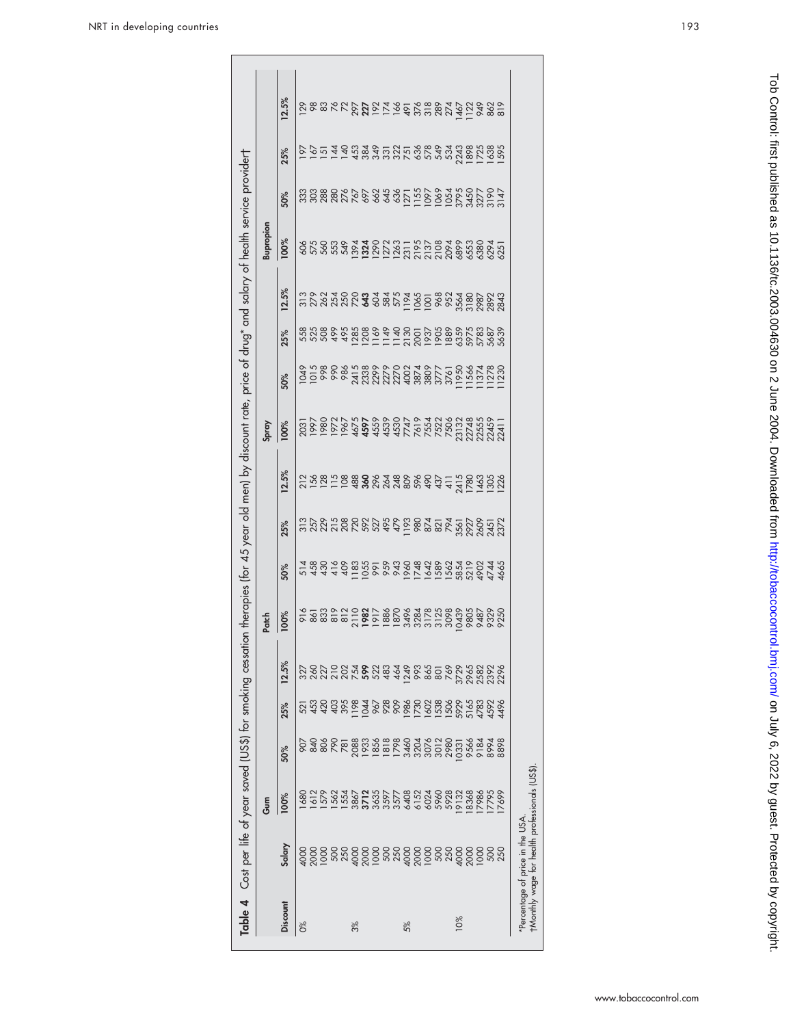|          |        | Gum                                                          |     |     |       | Patch |     |     |                                    | Spray |     |     |       | Bupropion |                         |                                   |                                      |
|----------|--------|--------------------------------------------------------------|-----|-----|-------|-------|-----|-----|------------------------------------|-------|-----|-----|-------|-----------|-------------------------|-----------------------------------|--------------------------------------|
| Discount | Salary | 100%                                                         | 50% | 25% | 12.5% | 100%  | 50% | 25% | 12.5%                              | 100%  | 50% | 25% | 12.5% | 100%      | 50%                     | 25%                               | 12.5%                                |
| $0\%$    |        |                                                              |     |     |       |       |     |     |                                    |       |     |     |       |           |                         |                                   |                                      |
|          |        | 901634671366893688888866<br>9016948 <b>6</b> 788888968668866 |     |     |       |       |     |     | $78899888888888877798383877788388$ |       |     |     |       |           | 88888768888515565888567 | 5.5.54499839595883939382928295295 | <b>S&amp;88555255645588745888885</b> |
|          |        |                                                              |     |     |       |       |     |     |                                    |       |     |     |       |           |                         |                                   |                                      |
|          |        |                                                              |     |     |       |       |     |     |                                    |       |     |     |       |           |                         |                                   |                                      |
|          |        |                                                              |     |     |       |       |     |     |                                    |       |     |     |       |           |                         |                                   |                                      |
| 3%       |        |                                                              |     |     |       |       |     |     |                                    |       |     |     |       |           |                         |                                   |                                      |
|          |        |                                                              |     |     |       |       |     |     |                                    |       |     |     |       |           |                         |                                   |                                      |
|          |        |                                                              |     |     |       |       |     |     |                                    |       |     |     |       |           |                         |                                   |                                      |
|          |        |                                                              |     |     |       |       |     |     |                                    |       |     |     |       |           |                         |                                   |                                      |
|          |        |                                                              |     |     |       |       |     |     |                                    |       |     |     |       |           |                         |                                   |                                      |
| 5%       |        |                                                              |     |     |       |       |     |     |                                    |       |     |     |       |           |                         |                                   |                                      |
|          |        |                                                              |     |     |       |       |     |     |                                    |       |     |     |       |           |                         |                                   |                                      |
|          |        |                                                              |     |     |       |       |     |     |                                    |       |     |     |       |           |                         |                                   |                                      |
|          |        |                                                              |     |     |       |       |     |     |                                    |       |     |     |       |           |                         |                                   |                                      |
|          |        |                                                              |     |     |       |       |     |     |                                    |       |     |     |       |           |                         |                                   |                                      |
| 10%      |        |                                                              |     |     |       |       |     |     |                                    |       |     |     |       |           |                         |                                   |                                      |
|          |        |                                                              |     |     |       |       |     |     |                                    |       |     |     |       |           |                         |                                   |                                      |
|          |        |                                                              |     |     |       |       |     |     |                                    |       |     |     |       |           |                         |                                   |                                      |
|          |        |                                                              |     |     |       |       |     |     |                                    |       |     |     |       |           |                         |                                   |                                      |
|          |        |                                                              |     |     |       |       |     |     |                                    |       |     |     |       |           |                         |                                   |                                      |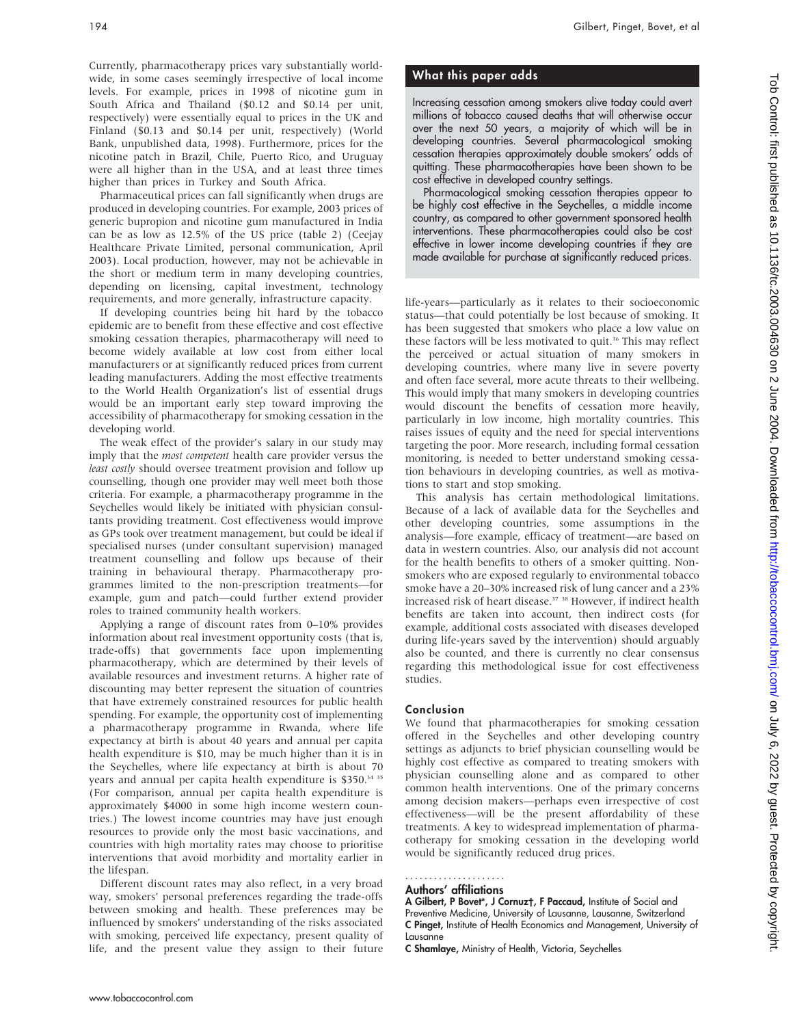Pharmaceutical prices can fall significantly when drugs are produced in developing countries. For example, 2003 prices of generic bupropion and nicotine gum manufactured in India can be as low as 12.5% of the US price (table 2) (Ceejay Healthcare Private Limited, personal communication, April 2003). Local production, however, may not be achievable in the short or medium term in many developing countries, depending on licensing, capital investment, technology requirements, and more generally, infrastructure capacity.

If developing countries being hit hard by the tobacco epidemic are to benefit from these effective and cost effective smoking cessation therapies, pharmacotherapy will need to become widely available at low cost from either local manufacturers or at significantly reduced prices from current leading manufacturers. Adding the most effective treatments to the World Health Organization's list of essential drugs would be an important early step toward improving the accessibility of pharmacotherapy for smoking cessation in the developing world.

The weak effect of the provider's salary in our study may imply that the *most competent* health care provider versus the least costly should oversee treatment provision and follow up counselling, though one provider may well meet both those criteria. For example, a pharmacotherapy programme in the Seychelles would likely be initiated with physician consultants providing treatment. Cost effectiveness would improve as GPs took over treatment management, but could be ideal if specialised nurses (under consultant supervision) managed treatment counselling and follow ups because of their training in behavioural therapy. Pharmacotherapy programmes limited to the non-prescription treatments—for example, gum and patch—could further extend provider roles to trained community health workers.

Applying a range of discount rates from 0–10% provides information about real investment opportunity costs (that is, trade-offs) that governments face upon implementing pharmacotherapy, which are determined by their levels of available resources and investment returns. A higher rate of discounting may better represent the situation of countries that have extremely constrained resources for public health spending. For example, the opportunity cost of implementing a pharmacotherapy programme in Rwanda, where life expectancy at birth is about 40 years and annual per capita health expenditure is \$10, may be much higher than it is in the Seychelles, where life expectancy at birth is about 70 years and annual per capita health expenditure is \$350.<sup>34 35</sup> (For comparison, annual per capita health expenditure is approximately \$4000 in some high income western countries.) The lowest income countries may have just enough resources to provide only the most basic vaccinations, and countries with high mortality rates may choose to prioritise interventions that avoid morbidity and mortality earlier in the lifespan.

Different discount rates may also reflect, in a very broad way, smokers' personal preferences regarding the trade-offs between smoking and health. These preferences may be influenced by smokers' understanding of the risks associated with smoking, perceived life expectancy, present quality of life, and the present value they assign to their future Increasing cessation among smokers alive today could avert millions of tobacco caused deaths that will otherwise occur over the next 50 years, a majority of which will be in developing countries. Several pharmacological smoking cessation therapies approximately double smokers' odds of quitting. These pharmacotherapies have been shown to be cost effective in developed country settings.

Pharmacological smoking cessation therapies appear to be highly cost effective in the Seychelles, a middle income country, as compared to other government sponsored health interventions. These pharmacotherapies could also be cost effective in lower income developing countries if they are made available for purchase at significantly reduced prices.

life-years—particularly as it relates to their socioeconomic status—that could potentially be lost because of smoking. It has been suggested that smokers who place a low value on these factors will be less motivated to quit.<sup>36</sup> This may reflect the perceived or actual situation of many smokers in developing countries, where many live in severe poverty and often face several, more acute threats to their wellbeing. This would imply that many smokers in developing countries would discount the benefits of cessation more heavily, particularly in low income, high mortality countries. This raises issues of equity and the need for special interventions targeting the poor. More research, including formal cessation monitoring, is needed to better understand smoking cessation behaviours in developing countries, as well as motivations to start and stop smoking.

This analysis has certain methodological limitations. Because of a lack of available data for the Seychelles and other developing countries, some assumptions in the analysis—fore example, efficacy of treatment—are based on data in western countries. Also, our analysis did not account for the health benefits to others of a smoker quitting. Nonsmokers who are exposed regularly to environmental tobacco smoke have a 20–30% increased risk of lung cancer and a 23% increased risk of heart disease.<sup>37</sup> <sup>38</sup> However, if indirect health benefits are taken into account, then indirect costs (for example, additional costs associated with diseases developed during life-years saved by the intervention) should arguably also be counted, and there is currently no clear consensus regarding this methodological issue for cost effectiveness studies.

## Conclusion

We found that pharmacotherapies for smoking cessation offered in the Seychelles and other developing country settings as adjuncts to brief physician counselling would be highly cost effective as compared to treating smokers with physician counselling alone and as compared to other common health interventions. One of the primary concerns among decision makers—perhaps even irrespective of cost effectiveness—will be the present affordability of these treatments. A key to widespread implementation of pharmacotherapy for smoking cessation in the developing world would be significantly reduced drug prices.

#### Authors' affiliations .....................

A Gilbert, P Bovet\*, J Cornuz†, F Paccaud, Institute of Social and Preventive Medicine, University of Lausanne, Lausanne, Switzerland C Pinget, Institute of Health Economics and Management, University of Lausanne

C Shamlaye, Ministry of Health, Victoria, Seychelles